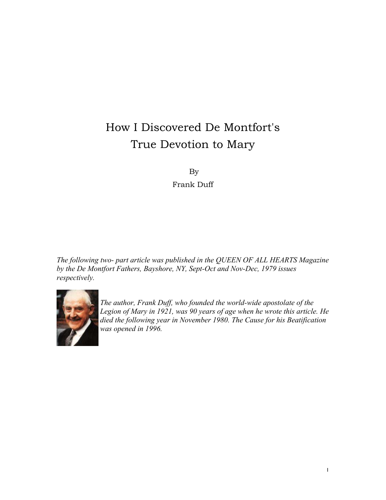# How I Discovered De Montfort's True Devotion to Mary

By

Frank Duff

*The following two- part article was published in the QUEEN OF ALL HEARTS Magazine by the De Montfort Fathers, Bayshore, NY, Sept-Oct and Nov-Dec, 1979 issues respectively.* 



*The author, Frank Duff, who founded the world-wide apostolate of the Legion of Mary in 1921, was 90 years of age when he wrote this article. He died the following year in November 1980. The Cause for his Beatification was opened in 1996.*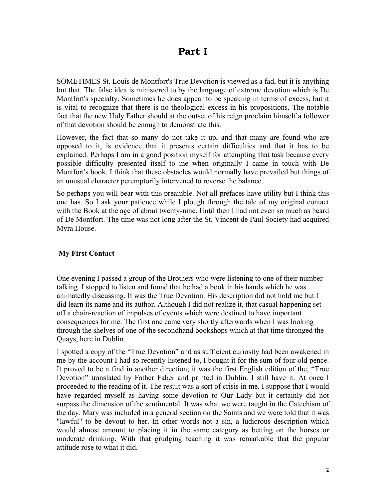## **Part I**

SOMETIMES St. Louis de Montfort's True Devotion is viewed as a fad, but it is anything but that. The false idea is ministered to by the language of extreme devotion which is De Montfort's specialty. Sometimes he does appear to be speaking in terms of excess, but it is vital to recognize that there is no theological excess in his propositions. The notable fact that the new Holy Father should at the outset of his reign proclaim himself a follower of that devotion should be enough to demonstrate this.

However, the fact that so many do not take it up, and that many are found who are opposed to it, is evidence that it presents certain difficulties and that it has to be explained. Perhaps I am in a good position myself for attempting that task because every possible difficulty presented itself to me when originally I came in touch with De Montfort's book. I think that these obstacles would normally have prevailed but things of an unusual character peremptorily intervened to reverse the balance.

So perhaps you will bear with this preamble. Not all prefaces have utility but I think this one has. So I ask your patience while I plough through the tale of my original contact with the Book at the age of about twenty-nine. Until then I had not even so much as heard of De Montfort. The time was not long after the St. Vincent de Paul Society had acquired Myra House.

#### **My First Contact**

One evening I passed a group of the Brothers who were listening to one of their number talking. I stopped to listen and found that he had a book in his hands which he was animatedly discussing. It was the True Devotion. His description did not hold me but I did learn its name and its author. Although I did not realize it, that casual happening set off a chain-reaction of impulses of events which were destined to have important consequences for me. The first one came very shortly afterwards when I was looking through the shelves of one of the secondhand bookshops which at that time thronged the Quays, here in Dublin.

I spotted a copy of the "True Devotion" and as sufficient curiosity had been awakened in me by the account I had so recently listened to, I bought it for the sum of four old pence. It proved to be a find in another direction; it was the first English edition of the, "True Devotion" translated by Father Faber and printed in Dublin. I still have it. At once I proceeded to the reading of it. The result was a sort of crisis in me. I suppose that I would have regarded myself as having some devotion to Our Lady but it certainly did not surpass the dimension of the sentimental. It was what we were taught in the Catechism of the day. Mary was included in a general section on the Saints and we were told that it was "lawful" to be devout to her. In other words not a sin, a ludicrous description which would almost amount to placing it in the same category as betting on the horses or moderate drinking. With that grudging teaching it was remarkable that the popular attitude rose to what it did.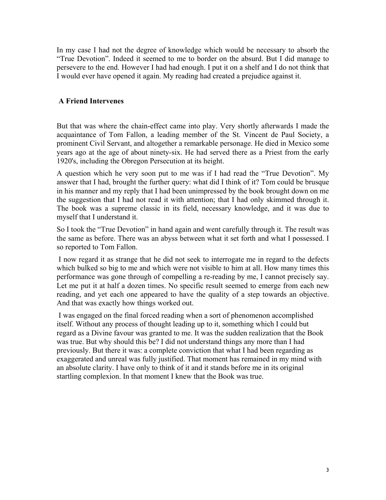In my case I had not the degree of knowledge which would be necessary to absorb the "True Devotion". Indeed it seemed to me to border on the absurd. But I did manage to persevere to the end. However I had had enough. I put it on a shelf and I do not think that I would ever have opened it again. My reading had created a prejudice against it.

#### **A Friend Intervenes**

But that was where the chain-effect came into play. Very shortly afterwards I made the acquaintance of Tom Fallon, a leading member of the St. Vincent de Paul Society, a prominent Civil Servant, and altogether a remarkable personage. He died in Mexico some years ago at the age of about ninety-six. He had served there as a Priest from the early 1920's, including the Obregon Persecution at its height.

A question which he very soon put to me was if I had read the "True Devotion". My answer that I had, brought the further query: what did I think of it? Tom could be brusque in his manner and my reply that I had been unimpressed by the book brought down on me the suggestion that I had not read it with attention; that I had only skimmed through it. The book was a supreme classic in its field, necessary knowledge, and it was due to myself that I understand it.

So I took the "True Devotion" in hand again and went carefully through it. The result was the same as before. There was an abyss between what it set forth and what I possessed. I so reported to Tom Fallon.

 I now regard it as strange that he did not seek to interrogate me in regard to the defects which bulked so big to me and which were not visible to him at all. How many times this performance was gone through of compelling a re-reading by me, I cannot precisely say. Let me put it at half a dozen times. No specific result seemed to emerge from each new reading, and yet each one appeared to have the quality of a step towards an objective. And that was exactly how things worked out.

 I was engaged on the final forced reading when a sort of phenomenon accomplished itself. Without any process of thought leading up to it, something which I could but regard as a Divine favour was granted to me. It was the sudden realization that the Book was true. But why should this be? I did not understand things any more than I had previously. But there it was: a complete conviction that what I had been regarding as exaggerated and unreal was fully justified. That moment has remained in my mind with an absolute clarity. I have only to think of it and it stands before me in its original startling complexion. In that moment I knew that the Book was true.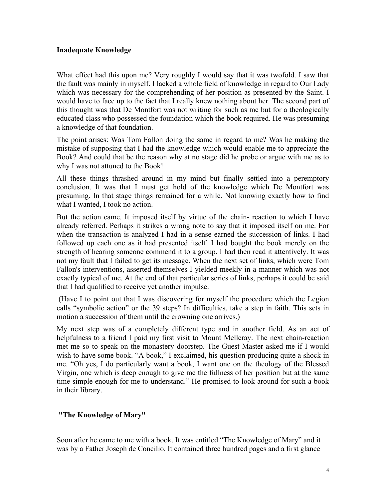#### **Inadequate Knowledge**

What effect had this upon me? Very roughly I would say that it was twofold. I saw that the fault was mainly in myself. I lacked a whole field of knowledge in regard to Our Lady which was necessary for the comprehending of her position as presented by the Saint. I would have to face up to the fact that I really knew nothing about her. The second part of this thought was that De Montfort was not writing for such as me but for a theologically educated class who possessed the foundation which the book required. He was presuming a knowledge of that foundation.

The point arises: Was Tom Fallon doing the same in regard to me? Was he making the mistake of supposing that I had the knowledge which would enable me to appreciate the Book? And could that be the reason why at no stage did he probe or argue with me as to why I was not attuned to the Book!

All these things thrashed around in my mind but finally settled into a peremptory conclusion. It was that I must get hold of the knowledge which De Montfort was presuming. In that stage things remained for a while. Not knowing exactly how to find what I wanted, I took no action.

But the action came. It imposed itself by virtue of the chain- reaction to which I have already referred. Perhaps it strikes a wrong note to say that it imposed itself on me. For when the transaction is analyzed I had in a sense earned the succession of links. I had followed up each one as it had presented itself. I had bought the book merely on the strength of hearing someone commend it to a group. I had then read it attentively. It was not my fault that I failed to get its message. When the next set of links, which were Tom Fallon's interventions, asserted themselves I yielded meekly in a manner which was not exactly typical of me. At the end of that particular series of links, perhaps it could be said that I had qualified to receive yet another impulse.

 (Have I to point out that I was discovering for myself the procedure which the Legion calls "symbolic action" or the 39 steps? In difficulties, take a step in faith. This sets in motion a succession of them until the crowning one arrives.)

My next step was of a completely different type and in another field. As an act of helpfulness to a friend I paid my first visit to Mount Melleray. The next chain-reaction met me so to speak on the monastery doorstep. The Guest Master asked me if I would wish to have some book. "A book," I exclaimed, his question producing quite a shock in me. "Oh yes, I do particularly want a book, I want one on the theology of the Blessed Virgin, one which is deep enough to give me the fullness of her position but at the same time simple enough for me to understand." He promised to look around for such a book in their library.

#### **"The Knowledge of Mary"**

Soon after he came to me with a book. It was entitled "The Knowledge of Mary" and it was by a Father Joseph de Concilio. It contained three hundred pages and a first glance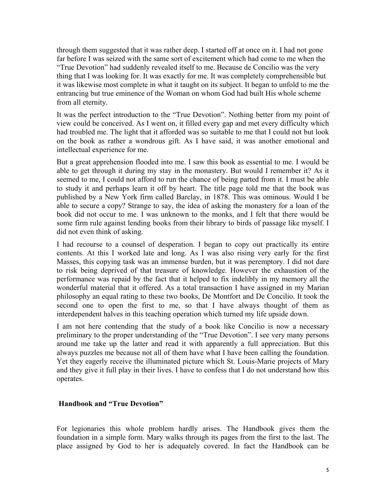through them suggested that it was rather deep. I started off at once on it. I had not gone far before I was seized with the same sort of excitement which had come to me when the "True Devotion" had suddenly revealed itself to me. Because de Concilio was the very thing that I was looking for. It was exactly for me. It was completely comprehensible but it was likewise most complete in what it taught on its subject. It began to unfold to me the entrancing but true eminence of the Woman on whom God had built His whole scheme from all eternity.

It was the perfect introduction to the "True Devotion". Nothing better from my point of view could be conceived. As I went on, it filled every gap and met every difficulty which had troubled me. The light that it afforded was so suitable to me that I could not but look on the book as rather a wondrous gift. As I have said, it was another emotional and intellectual experience for me.

But a great apprehension flooded into me. I saw this book as essential to me. I would be able to get through it during my stay in the monastery. But would I remember it? As it seemed to me, I could not afford to run the chance of being parted from it. I must be able to study it and perhaps learn it off by heart. The title page told me that the book was published by a New York firm called Barclay, in 1878. This was ominous. Would I be able to secure a copy? Strange to say, the idea of asking the monastery for a loan of the book did not occur to me. I was unknown to the monks, and I felt that there would be some firm rule against lending books from their library to birds of passage like myself. I did not even think of asking.

I had recourse to a counsel of desperation. I began to copy out practically its entire contents. At this I worked late and long. As I was also rising very early for the first Masses, this copying task was an immense burden, but it was peremptory. I did not dare to risk being deprived of that treasure of knowledge. However the exhaustion of the performance was repaid by the fact that it helped to fix indelibly in my memory all the wonderful material that it offered. As a total transaction I have assigned in my Marian philosophy an equal rating to these two books, De Montfort and De Concilio. It took the second one to open the first to me, so that I have always thought of them as interdependent halves in this teaching operation which turned my life upside down.

I am not here contending that the study of a book like Concilio is now a necessary preliminary to the proper understanding of the "True Devotion". I see very many persons around me take up the latter and read it with apparently a full appreciation. But this always puzzles me because not all of them have what I have been calling the foundation. Yet they eagerly receive the illuminated picture which St. Louis-Marie projects of Mary and they give it full play in their lives. I have to confess that I do not understand how this operates.

#### **Handbook and "True Devotion"**

For legionaries this whole problem hardly arises. The Handbook gives them the foundation in a simple form. Mary walks through its pages from the first to the last. The place assigned by God to her is adequately covered. In fact the Handbook can be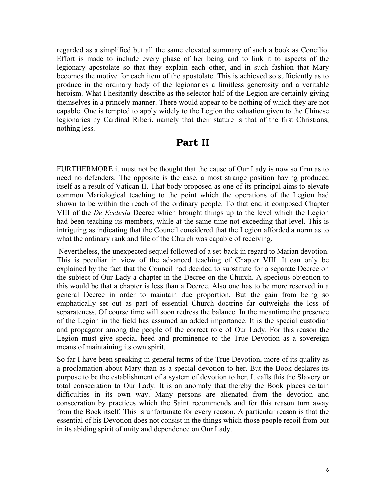regarded as a simplified but all the same elevated summary of such a book as Concilio. Effort is made to include every phase of her being and to link it to aspects of the legionary apostolate so that they explain each other, and in such fashion that Mary becomes the motive for each item of the apostolate. This is achieved so sufficiently as to produce in the ordinary body of the legionaries a limitless generosity and a veritable heroism. What I hesitantly describe as the selector half of the Legion are certainly giving themselves in a princely manner. There would appear to be nothing of which they are not capable. One is tempted to apply widely to the Legion the valuation given to the Chinese legionaries by Cardinal Riberi, namely that their stature is that of the first Christians, nothing less.

### **Part II**

FURTHERMORE it must not be thought that the cause of Our Lady is now so firm as to need no defenders. The opposite is the case, a most strange position having produced itself as a result of Vatican II. That body proposed as one of its principal aims to elevate common Mariological teaching to the point which the operations of the Legion had shown to be within the reach of the ordinary people. To that end it composed Chapter VIII of the *De Ecclesia* Decree which brought things up to the level which the Legion had been teaching its members, while at the same time not exceeding that level. This is intriguing as indicating that the Council considered that the Legion afforded a norm as to what the ordinary rank and file of the Church was capable of receiving.

 Nevertheless, the unexpected sequel followed of a set-back in regard to Marian devotion. This is peculiar in view of the advanced teaching of Chapter VIII. It can only be explained by the fact that the Council had decided to substitute for a separate Decree on the subject of Our Lady a chapter in the Decree on the Church. A specious objection to this would be that a chapter is less than a Decree. Also one has to be more reserved in a general Decree in order to maintain due proportion. But the gain from being so emphatically set out as part of essential Church doctrine far outweighs the loss of separateness. Of course time will soon redress the balance. In the meantime the presence of the Legion in the field has assumed an added importance. It is the special custodian and propagator among the people of the correct role of Our Lady. For this reason the Legion must give special heed and prominence to the True Devotion as a sovereign means of maintaining its own spirit.

So far I have been speaking in general terms of the True Devotion, more of its quality as a proclamation about Mary than as a special devotion to her. But the Book declares its purpose to be the establishment of a system of devotion to her. It calls this the Slavery or total consecration to Our Lady. It is an anomaly that thereby the Book places certain difficulties in its own way. Many persons are alienated from the devotion and consecration by practices which the Saint recommends and for this reason turn away from the Book itself. This is unfortunate for every reason. A particular reason is that the essential of his Devotion does not consist in the things which those people recoil from but in its abiding spirit of unity and dependence on Our Lady.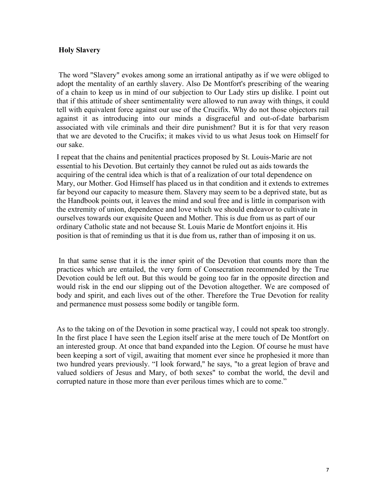#### **Holy Slavery**

 The word "Slavery" evokes among some an irrational antipathy as if we were obliged to adopt the mentality of an earthly slavery. Also De Montfort's prescribing of the wearing of a chain to keep us in mind of our subjection to Our Lady stirs up dislike. I point out that if this attitude of sheer sentimentality were allowed to run away with things, it could tell with equivalent force against our use of the Crucifix. Why do not those objectors rail against it as introducing into our minds a disgraceful and out-of-date barbarism associated with vile criminals and their dire punishment? But it is for that very reason that we are devoted to the Crucifix; it makes vivid to us what Jesus took on Himself for our sake.

I repeat that the chains and penitential practices proposed by St. Louis-Marie are not essential to his Devotion. But certainly they cannot be ruled out as aids towards the acquiring of the central idea which is that of a realization of our total dependence on Mary, our Mother. God Himself has placed us in that condition and it extends to extremes far beyond our capacity to measure them. Slavery may seem to be a deprived state, but as the Handbook points out, it leaves the mind and soul free and is little in comparison with the extremity of union, dependence and love which we should endeavor to cultivate in ourselves towards our exquisite Queen and Mother. This is due from us as part of our ordinary Catholic state and not because St. Louis Marie de Montfort enjoins it. His position is that of reminding us that it is due from us, rather than of imposing it on us.

 In that same sense that it is the inner spirit of the Devotion that counts more than the practices which are entailed, the very form of Consecration recommended by the True Devotion could be left out. But this would be going too far in the opposite direction and would risk in the end our slipping out of the Devotion altogether. We are composed of body and spirit, and each lives out of the other. Therefore the True Devotion for reality and permanence must possess some bodily or tangible form.

As to the taking on of the Devotion in some practical way, I could not speak too strongly. In the first place I have seen the Legion itself arise at the mere touch of De Montfort on an interested group. At once that band expanded into the Legion. Of course he must have been keeping a sort of vigil, awaiting that moment ever since he prophesied it more than two hundred years previously. "I look forward," he says, "to a great legion of brave and valued soldiers of Jesus and Mary, of both sexes" to combat the world, the devil and corrupted nature in those more than ever perilous times which are to come."